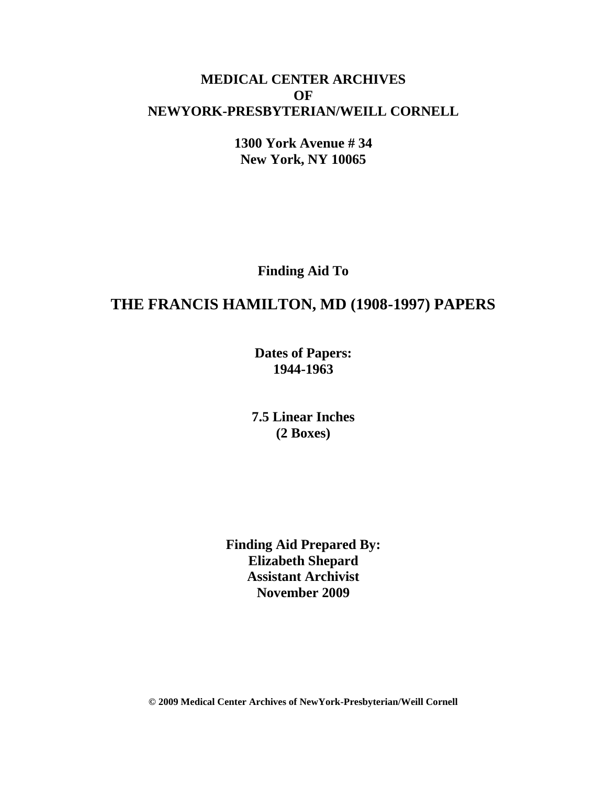### **MEDICAL CENTER ARCHIVES OF NEWYORK-PRESBYTERIAN/WEILL CORNELL**

**1300 York Avenue # 34 New York, NY 10065**

**Finding Aid To**

# **THE FRANCIS HAMILTON, MD (1908-1997) PAPERS**

**Dates of Papers: 1944-1963**

**7.5 Linear Inches (2 Boxes)**

**Finding Aid Prepared By: Elizabeth Shepard Assistant Archivist November 2009**

**© 2009 Medical Center Archives of NewYork-Presbyterian/Weill Cornell**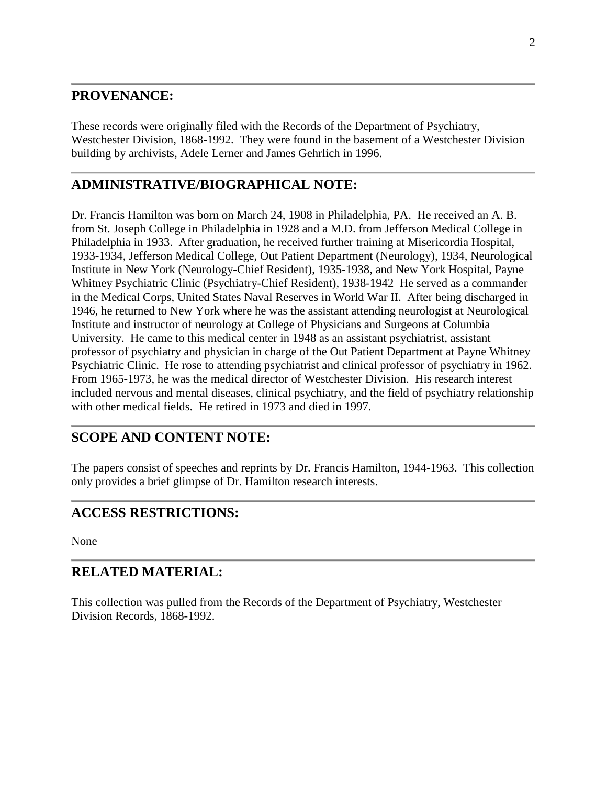#### **PROVENANCE:**

These records were originally filed with the Records of the Department of Psychiatry, Westchester Division, 1868-1992. They were found in the basement of a Westchester Division building by archivists, Adele Lerner and James Gehrlich in 1996.

### **ADMINISTRATIVE/BIOGRAPHICAL NOTE:**

Dr. Francis Hamilton was born on March 24, 1908 in Philadelphia, PA. He received an A. B. from St. Joseph College in Philadelphia in 1928 and a M.D. from Jefferson Medical College in Philadelphia in 1933. After graduation, he received further training at Misericordia Hospital, 1933-1934, Jefferson Medical College, Out Patient Department (Neurology), 1934, Neurological Institute in New York (Neurology-Chief Resident), 1935-1938, and New York Hospital, Payne Whitney Psychiatric Clinic (Psychiatry-Chief Resident), 1938-1942 He served as a commander in the Medical Corps, United States Naval Reserves in World War II. After being discharged in 1946, he returned to New York where he was the assistant attending neurologist at Neurological Institute and instructor of neurology at College of Physicians and Surgeons at Columbia University. He came to this medical center in 1948 as an assistant psychiatrist, assistant professor of psychiatry and physician in charge of the Out Patient Department at Payne Whitney Psychiatric Clinic. He rose to attending psychiatrist and clinical professor of psychiatry in 1962. From 1965-1973, he was the medical director of Westchester Division. His research interest included nervous and mental diseases, clinical psychiatry, and the field of psychiatry relationship with other medical fields. He retired in 1973 and died in 1997.

# **SCOPE AND CONTENT NOTE:**

The papers consist of speeches and reprints by Dr. Francis Hamilton, 1944-1963. This collection only provides a brief glimpse of Dr. Hamilton research interests.

### **ACCESS RESTRICTIONS:**

None

### **RELATED MATERIAL:**

This collection was pulled from the Records of the Department of Psychiatry, Westchester Division Records, 1868-1992.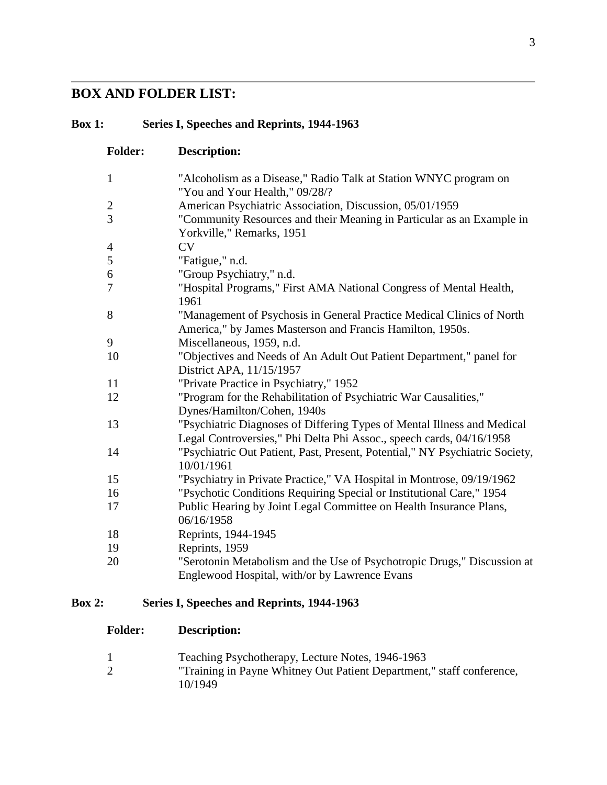# **BOX AND FOLDER LIST:**

# **Box 1: Series I, Speeches and Reprints, 1944-1963**

| <b>Folder:</b> | <b>Description:</b>                                                                                                                             |
|----------------|-------------------------------------------------------------------------------------------------------------------------------------------------|
| $\mathbf{1}$   | "Alcoholism as a Disease," Radio Talk at Station WNYC program on<br>"You and Your Health," 09/28/?                                              |
| $\overline{c}$ | American Psychiatric Association, Discussion, 05/01/1959                                                                                        |
| 3              | "Community Resources and their Meaning in Particular as an Example in<br>Yorkville," Remarks, 1951                                              |
| 4              | CV                                                                                                                                              |
| 5              | "Fatigue," n.d.                                                                                                                                 |
| 6              | "Group Psychiatry," n.d.                                                                                                                        |
| 7              | "Hospital Programs," First AMA National Congress of Mental Health,<br>1961                                                                      |
| 8              | "Management of Psychosis in General Practice Medical Clinics of North<br>America," by James Masterson and Francis Hamilton, 1950s.              |
| 9              | Miscellaneous, 1959, n.d.                                                                                                                       |
| 10             | "Objectives and Needs of An Adult Out Patient Department," panel for<br>District APA, 11/15/1957                                                |
| 11             | "Private Practice in Psychiatry," 1952                                                                                                          |
| 12             | "Program for the Rehabilitation of Psychiatric War Causalities,"<br>Dynes/Hamilton/Cohen, 1940s                                                 |
| 13             | "Psychiatric Diagnoses of Differing Types of Mental Illness and Medical<br>Legal Controversies," Phi Delta Phi Assoc., speech cards, 04/16/1958 |
| 14             | "Psychiatric Out Patient, Past, Present, Potential," NY Psychiatric Society,<br>10/01/1961                                                      |
| 15             | "Psychiatry in Private Practice," VA Hospital in Montrose, 09/19/1962                                                                           |
| 16             | "Psychotic Conditions Requiring Special or Institutional Care," 1954                                                                            |
| 17             | Public Hearing by Joint Legal Committee on Health Insurance Plans,<br>06/16/1958                                                                |
| 18             | Reprints, 1944-1945                                                                                                                             |
| 19             | Reprints, 1959                                                                                                                                  |
| 20             | "Serotonin Metabolism and the Use of Psychotropic Drugs," Discussion at<br>Englewood Hospital, with/or by Lawrence Evans                        |

# **Box 2: Series I, Speeches and Reprints, 1944-1963**

| <b>Folder:</b> | <b>Description:</b> |
|----------------|---------------------|
|----------------|---------------------|

| Teaching Psychotherapy, Lecture Notes, 1946-1963                      |
|-----------------------------------------------------------------------|
| "Training in Payne Whitney Out Patient Department," staff conference, |
| 10/1949                                                               |